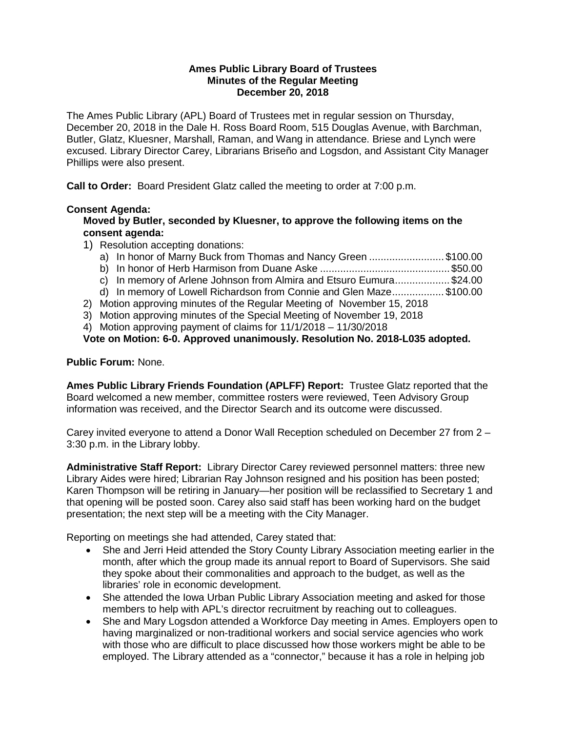### **Ames Public Library Board of Trustees Minutes of the Regular Meeting December 20, 2018**

The Ames Public Library (APL) Board of Trustees met in regular session on Thursday, December 20, 2018 in the Dale H. Ross Board Room, 515 Douglas Avenue, with Barchman, Butler, Glatz, Kluesner, Marshall, Raman, and Wang in attendance. Briese and Lynch were excused. Library Director Carey, Librarians Briseño and Logsdon, and Assistant City Manager Phillips were also present.

**Call to Order:** Board President Glatz called the meeting to order at 7:00 p.m.

# **Consent Agenda:**

**Moved by Butler, seconded by Kluesner, to approve the following items on the consent agenda:**

- 1) Resolution accepting donations:
	- a) In honor of Marny Buck from Thomas and Nancy Green .......................... \$100.00
	- b) In honor of Herb Harmison from Duane Aske ............................................. \$50.00
	- c) In memory of Arlene Johnson from Almira and Etsuro Eumura................... \$24.00
	- d) In memory of Lowell Richardson from Connie and Glen Maze.................. \$100.00
- 2) Motion approving minutes of the Regular Meeting of November 15, 2018
- 3) Motion approving minutes of the Special Meeting of November 19, 2018
- 4) Motion approving payment of claims for 11/1/2018 11/30/2018

**Vote on Motion: 6-0. Approved unanimously. Resolution No. 2018-L035 adopted.**

## **Public Forum:** None.

**Ames Public Library Friends Foundation (APLFF) Report:** Trustee Glatz reported that the Board welcomed a new member, committee rosters were reviewed, Teen Advisory Group information was received, and the Director Search and its outcome were discussed.

Carey invited everyone to attend a Donor Wall Reception scheduled on December 27 from 2 – 3:30 p.m. in the Library lobby.

**Administrative Staff Report:** Library Director Carey reviewed personnel matters: three new Library Aides were hired; Librarian Ray Johnson resigned and his position has been posted; Karen Thompson will be retiring in January—her position will be reclassified to Secretary 1 and that opening will be posted soon. Carey also said staff has been working hard on the budget presentation; the next step will be a meeting with the City Manager.

Reporting on meetings she had attended, Carey stated that:

- She and Jerri Heid attended the Story County Library Association meeting earlier in the month, after which the group made its annual report to Board of Supervisors. She said they spoke about their commonalities and approach to the budget, as well as the libraries' role in economic development.
- She attended the Iowa Urban Public Library Association meeting and asked for those members to help with APL's director recruitment by reaching out to colleagues.
- She and Mary Logsdon attended a Workforce Day meeting in Ames. Employers open to having marginalized or non-traditional workers and social service agencies who work with those who are difficult to place discussed how those workers might be able to be employed. The Library attended as a "connector," because it has a role in helping job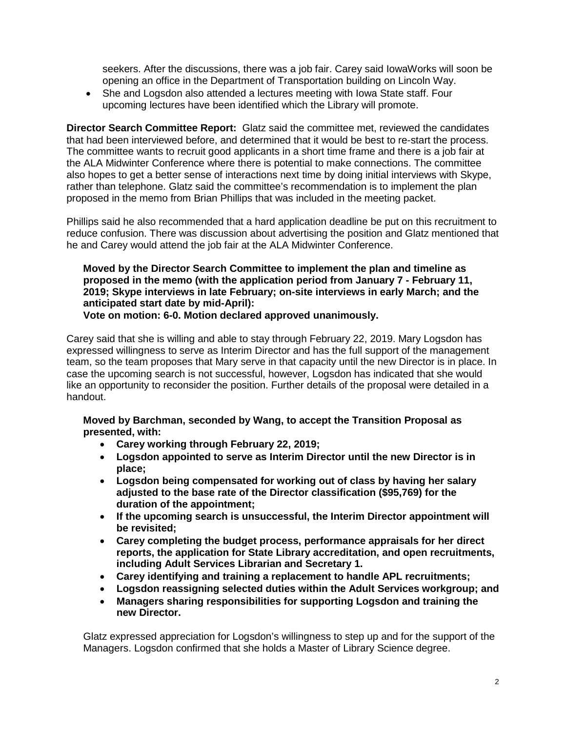seekers. After the discussions, there was a job fair. Carey said IowaWorks will soon be opening an office in the Department of Transportation building on Lincoln Way.

• She and Logsdon also attended a lectures meeting with Iowa State staff. Four upcoming lectures have been identified which the Library will promote.

**Director Search Committee Report:** Glatz said the committee met, reviewed the candidates that had been interviewed before, and determined that it would be best to re-start the process. The committee wants to recruit good applicants in a short time frame and there is a job fair at the ALA Midwinter Conference where there is potential to make connections. The committee also hopes to get a better sense of interactions next time by doing initial interviews with Skype, rather than telephone. Glatz said the committee's recommendation is to implement the plan proposed in the memo from Brian Phillips that was included in the meeting packet.

Phillips said he also recommended that a hard application deadline be put on this recruitment to reduce confusion. There was discussion about advertising the position and Glatz mentioned that he and Carey would attend the job fair at the ALA Midwinter Conference.

**Moved by the Director Search Committee to implement the plan and timeline as proposed in the memo (with the application period from January 7 - February 11, 2019; Skype interviews in late February; on-site interviews in early March; and the anticipated start date by mid-April):**

**Vote on motion: 6-0. Motion declared approved unanimously.**

Carey said that she is willing and able to stay through February 22, 2019. Mary Logsdon has expressed willingness to serve as Interim Director and has the full support of the management team, so the team proposes that Mary serve in that capacity until the new Director is in place. In case the upcoming search is not successful, however, Logsdon has indicated that she would like an opportunity to reconsider the position. Further details of the proposal were detailed in a handout.

**Moved by Barchman, seconded by Wang, to accept the Transition Proposal as presented, with:**

- **Carey working through February 22, 2019;**
- **Logsdon appointed to serve as Interim Director until the new Director is in place;**
- **Logsdon being compensated for working out of class by having her salary adjusted to the base rate of the Director classification (\$95,769) for the duration of the appointment;**
- **If the upcoming search is unsuccessful, the Interim Director appointment will be revisited;**
- **Carey completing the budget process, performance appraisals for her direct reports, the application for State Library accreditation, and open recruitments, including Adult Services Librarian and Secretary 1.**
- **Carey identifying and training a replacement to handle APL recruitments;**
- **Logsdon reassigning selected duties within the Adult Services workgroup; and**
- **Managers sharing responsibilities for supporting Logsdon and training the new Director.**

Glatz expressed appreciation for Logsdon's willingness to step up and for the support of the Managers. Logsdon confirmed that she holds a Master of Library Science degree.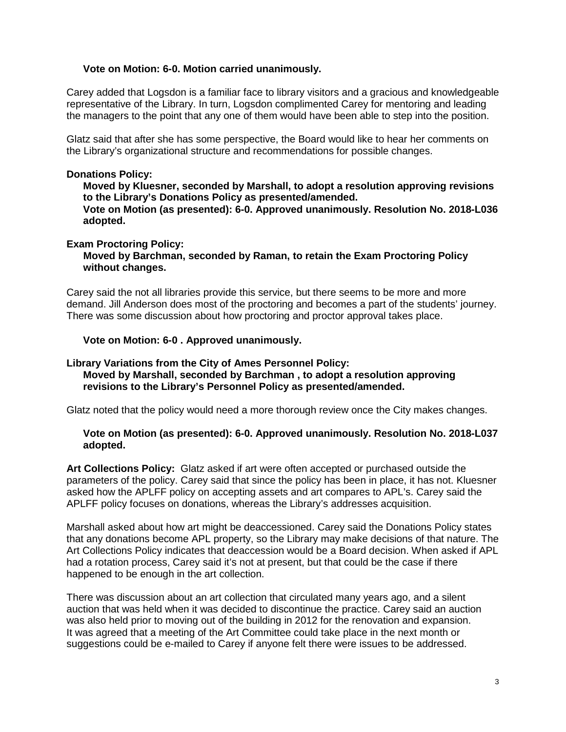### **Vote on Motion: 6-0. Motion carried unanimously.**

Carey added that Logsdon is a familiar face to library visitors and a gracious and knowledgeable representative of the Library. In turn, Logsdon complimented Carey for mentoring and leading the managers to the point that any one of them would have been able to step into the position.

Glatz said that after she has some perspective, the Board would like to hear her comments on the Library's organizational structure and recommendations for possible changes.

### **Donations Policy:**

**Moved by Kluesner, seconded by Marshall, to adopt a resolution approving revisions to the Library's Donations Policy as presented/amended. Vote on Motion (as presented): 6-0. Approved unanimously. Resolution No. 2018-L036 adopted.**

#### **Exam Proctoring Policy: Moved by Barchman, seconded by Raman, to retain the Exam Proctoring Policy without changes.**

Carey said the not all libraries provide this service, but there seems to be more and more demand. Jill Anderson does most of the proctoring and becomes a part of the students' journey. There was some discussion about how proctoring and proctor approval takes place.

#### **Vote on Motion: 6-0 . Approved unanimously.**

### **Library Variations from the City of Ames Personnel Policy: Moved by Marshall, seconded by Barchman , to adopt a resolution approving revisions to the Library's Personnel Policy as presented/amended.**

Glatz noted that the policy would need a more thorough review once the City makes changes.

### **Vote on Motion (as presented): 6-0. Approved unanimously. Resolution No. 2018-L037 adopted.**

**Art Collections Policy:** Glatz asked if art were often accepted or purchased outside the parameters of the policy. Carey said that since the policy has been in place, it has not. Kluesner asked how the APLFF policy on accepting assets and art compares to APL's. Carey said the APLFF policy focuses on donations, whereas the Library's addresses acquisition.

Marshall asked about how art might be deaccessioned. Carey said the Donations Policy states that any donations become APL property, so the Library may make decisions of that nature. The Art Collections Policy indicates that deaccession would be a Board decision. When asked if APL had a rotation process, Carey said it's not at present, but that could be the case if there happened to be enough in the art collection.

There was discussion about an art collection that circulated many years ago, and a silent auction that was held when it was decided to discontinue the practice. Carey said an auction was also held prior to moving out of the building in 2012 for the renovation and expansion. It was agreed that a meeting of the Art Committee could take place in the next month or suggestions could be e-mailed to Carey if anyone felt there were issues to be addressed.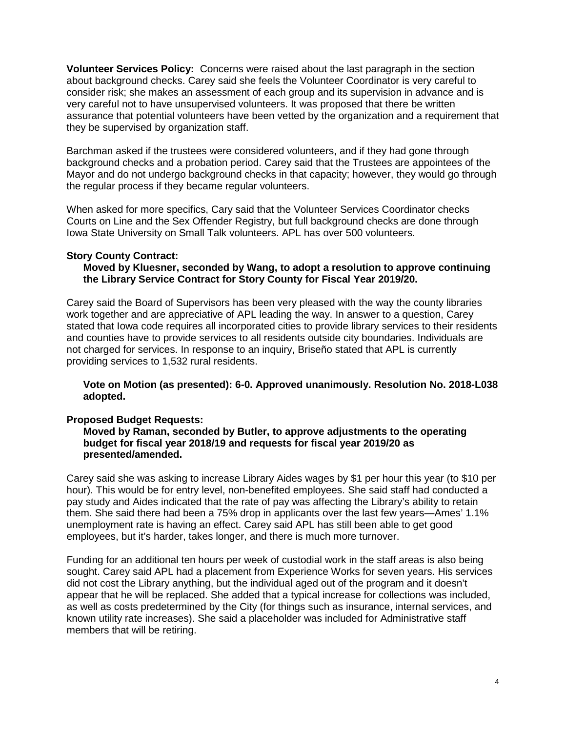**Volunteer Services Policy:** Concerns were raised about the last paragraph in the section about background checks. Carey said she feels the Volunteer Coordinator is very careful to consider risk; she makes an assessment of each group and its supervision in advance and is very careful not to have unsupervised volunteers. It was proposed that there be written assurance that potential volunteers have been vetted by the organization and a requirement that they be supervised by organization staff.

Barchman asked if the trustees were considered volunteers, and if they had gone through background checks and a probation period. Carey said that the Trustees are appointees of the Mayor and do not undergo background checks in that capacity; however, they would go through the regular process if they became regular volunteers.

When asked for more specifics, Cary said that the Volunteer Services Coordinator checks Courts on Line and the Sex Offender Registry, but full background checks are done through Iowa State University on Small Talk volunteers. APL has over 500 volunteers.

#### **Story County Contract:**

### **Moved by Kluesner, seconded by Wang, to adopt a resolution to approve continuing the Library Service Contract for Story County for Fiscal Year 2019/20.**

Carey said the Board of Supervisors has been very pleased with the way the county libraries work together and are appreciative of APL leading the way. In answer to a question, Carey stated that Iowa code requires all incorporated cities to provide library services to their residents and counties have to provide services to all residents outside city boundaries. Individuals are not charged for services. In response to an inquiry, Briseño stated that APL is currently providing services to 1,532 rural residents.

### **Vote on Motion (as presented): 6-0. Approved unanimously. Resolution No. 2018-L038 adopted.**

#### **Proposed Budget Requests:**

#### **Moved by Raman, seconded by Butler, to approve adjustments to the operating budget for fiscal year 2018/19 and requests for fiscal year 2019/20 as presented/amended.**

Carey said she was asking to increase Library Aides wages by \$1 per hour this year (to \$10 per hour). This would be for entry level, non-benefited employees. She said staff had conducted a pay study and Aides indicated that the rate of pay was affecting the Library's ability to retain them. She said there had been a 75% drop in applicants over the last few years—Ames' 1.1% unemployment rate is having an effect. Carey said APL has still been able to get good employees, but it's harder, takes longer, and there is much more turnover.

Funding for an additional ten hours per week of custodial work in the staff areas is also being sought. Carey said APL had a placement from Experience Works for seven years. His services did not cost the Library anything, but the individual aged out of the program and it doesn't appear that he will be replaced. She added that a typical increase for collections was included, as well as costs predetermined by the City (for things such as insurance, internal services, and known utility rate increases). She said a placeholder was included for Administrative staff members that will be retiring.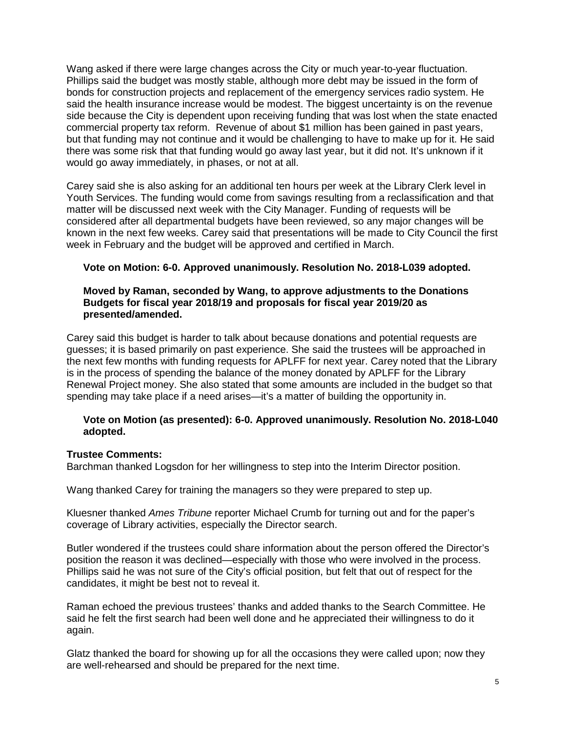Wang asked if there were large changes across the City or much year-to-year fluctuation. Phillips said the budget was mostly stable, although more debt may be issued in the form of bonds for construction projects and replacement of the emergency services radio system. He said the health insurance increase would be modest. The biggest uncertainty is on the revenue side because the City is dependent upon receiving funding that was lost when the state enacted commercial property tax reform. Revenue of about \$1 million has been gained in past years, but that funding may not continue and it would be challenging to have to make up for it. He said there was some risk that that funding would go away last year, but it did not. It's unknown if it would go away immediately, in phases, or not at all.

Carey said she is also asking for an additional ten hours per week at the Library Clerk level in Youth Services. The funding would come from savings resulting from a reclassification and that matter will be discussed next week with the City Manager. Funding of requests will be considered after all departmental budgets have been reviewed, so any major changes will be known in the next few weeks. Carey said that presentations will be made to City Council the first week in February and the budget will be approved and certified in March.

### **Vote on Motion: 6-0. Approved unanimously. Resolution No. 2018-L039 adopted.**

#### **Moved by Raman, seconded by Wang, to approve adjustments to the Donations Budgets for fiscal year 2018/19 and proposals for fiscal year 2019/20 as presented/amended.**

Carey said this budget is harder to talk about because donations and potential requests are guesses; it is based primarily on past experience. She said the trustees will be approached in the next few months with funding requests for APLFF for next year. Carey noted that the Library is in the process of spending the balance of the money donated by APLFF for the Library Renewal Project money. She also stated that some amounts are included in the budget so that spending may take place if a need arises—it's a matter of building the opportunity in.

#### **Vote on Motion (as presented): 6-0. Approved unanimously. Resolution No. 2018-L040 adopted.**

#### **Trustee Comments:**

Barchman thanked Logsdon for her willingness to step into the Interim Director position.

Wang thanked Carey for training the managers so they were prepared to step up.

Kluesner thanked *Ames Tribune* reporter Michael Crumb for turning out and for the paper's coverage of Library activities, especially the Director search.

Butler wondered if the trustees could share information about the person offered the Director's position the reason it was declined—especially with those who were involved in the process. Phillips said he was not sure of the City's official position, but felt that out of respect for the candidates, it might be best not to reveal it.

Raman echoed the previous trustees' thanks and added thanks to the Search Committee. He said he felt the first search had been well done and he appreciated their willingness to do it again.

Glatz thanked the board for showing up for all the occasions they were called upon; now they are well-rehearsed and should be prepared for the next time.